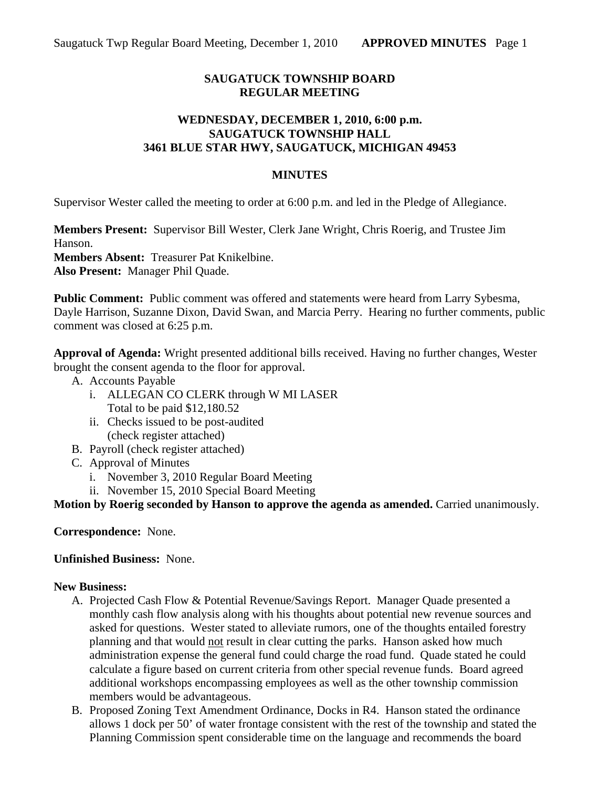## **SAUGATUCK TOWNSHIP BOARD REGULAR MEETING**

### **WEDNESDAY, DECEMBER 1, 2010, 6:00 p.m. SAUGATUCK TOWNSHIP HALL 3461 BLUE STAR HWY, SAUGATUCK, MICHIGAN 49453**

#### **MINUTES**

Supervisor Wester called the meeting to order at 6:00 p.m. and led in the Pledge of Allegiance.

**Members Present:** Supervisor Bill Wester, Clerk Jane Wright, Chris Roerig, and Trustee Jim Hanson.

**Members Absent:** Treasurer Pat Knikelbine.

**Also Present:** Manager Phil Quade.

**Public Comment:** Public comment was offered and statements were heard from Larry Sybesma, Dayle Harrison, Suzanne Dixon, David Swan, and Marcia Perry. Hearing no further comments, public comment was closed at 6:25 p.m.

**Approval of Agenda:** Wright presented additional bills received. Having no further changes, Wester brought the consent agenda to the floor for approval.

- A. Accounts Payable
	- i. ALLEGAN CO CLERK through W MI LASER Total to be paid \$12,180.52
	- ii. Checks issued to be post-audited (check register attached)
- B. Payroll (check register attached)
- C. Approval of Minutes
	- i. November 3, 2010 Regular Board Meeting
	- ii. November 15, 2010 Special Board Meeting

**Motion by Roerig seconded by Hanson to approve the agenda as amended.** Carried unanimously.

**Correspondence:** None.

#### **Unfinished Business:** None.

#### **New Business:**

- A. Projected Cash Flow & Potential Revenue/Savings Report. Manager Quade presented a monthly cash flow analysis along with his thoughts about potential new revenue sources and asked for questions. Wester stated to alleviate rumors, one of the thoughts entailed forestry planning and that would not result in clear cutting the parks. Hanson asked how much administration expense the general fund could charge the road fund. Quade stated he could calculate a figure based on current criteria from other special revenue funds. Board agreed additional workshops encompassing employees as well as the other township commission members would be advantageous.
- B. Proposed Zoning Text Amendment Ordinance, Docks in R4. Hanson stated the ordinance allows 1 dock per 50' of water frontage consistent with the rest of the township and stated the Planning Commission spent considerable time on the language and recommends the board